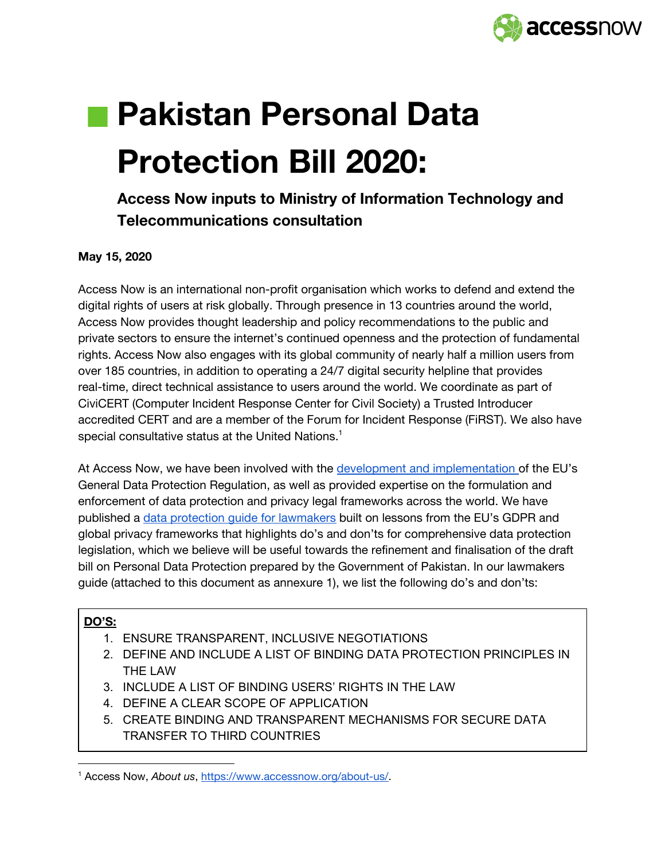

# **Pakistan Personal Data Protection Bill 2020:**

# **Access Now inputs to Ministry of Information Technology and Telecommunications consultation**

# **May 15, 2020**

Access Now is an international non-profit organisation which works to defend and extend the digital rights of users at risk globally. Through presence in 13 countries around the world, Access Now provides thought leadership and policy recommendations to the public and private sectors to ensure the internet's continued openness and the protection of fundamental rights. Access Now also engages with its global community of nearly half a million users from over 185 countries, in addition to operating a 24/7 digital security helpline that provides real-time, direct technical assistance to users around the world. We coordinate as part of CiviCERT (Computer Incident Response Center for Civil Society) a Trusted Introducer accredited CERT and are a member of the Forum for Incident Response (FiRST). We also have special consultative status at the United Nations. $^{\textrm{\text{!`}}}$ 

At Access Now, we have been involved with the development and [implementation](https://ec.europa.eu/transparency/regexpert/index.cfm?do=memberDetail.memberDetail&memberID=67585&orig=group) of the EU's General Data Protection Regulation, as well as provided expertise on the formulation and enforcement of data protection and privacy legal frameworks across the world. We have published a data protection guide for [lawmakers](https://www.accessnow.org/cms/assets/uploads/2019/11/Data-Protection-Guide-for-Lawmakers-Access-Now.pdf) built on lessons from the EU's GDPR and global privacy frameworks that highlights do's and don'ts for comprehensive data protection legislation, which we believe will be useful towards the refinement and finalisation of the draft bill on Personal Data Protection prepared by the Government of Pakistan. In our lawmakers guide (attached to this document as annexure 1), we list the following do's and don'ts:

#### **DO'S:**

- 1. ENSURE TRANSPARENT, INCLUSIVE NEGOTIATIONS
- 2. DEFINE AND INCLUDE A LIST OF BINDING DATA PROTECTION PRINCIPLES IN THE LAW
- 3. INCLUDE A LIST OF BINDING USERS' RIGHTS IN THE LAW
- 4. DEFINE A CLEAR SCOPE OF APPLICATION
- 5. CREATE BINDING AND TRANSPARENT MECHANISMS FOR SECURE DATA TRANSFER TO THIRD COUNTRIES

<sup>1</sup> Access Now, *About us*, [https://www.accessnow.org/about-us/.](https://www.accessnow.org/about-us/)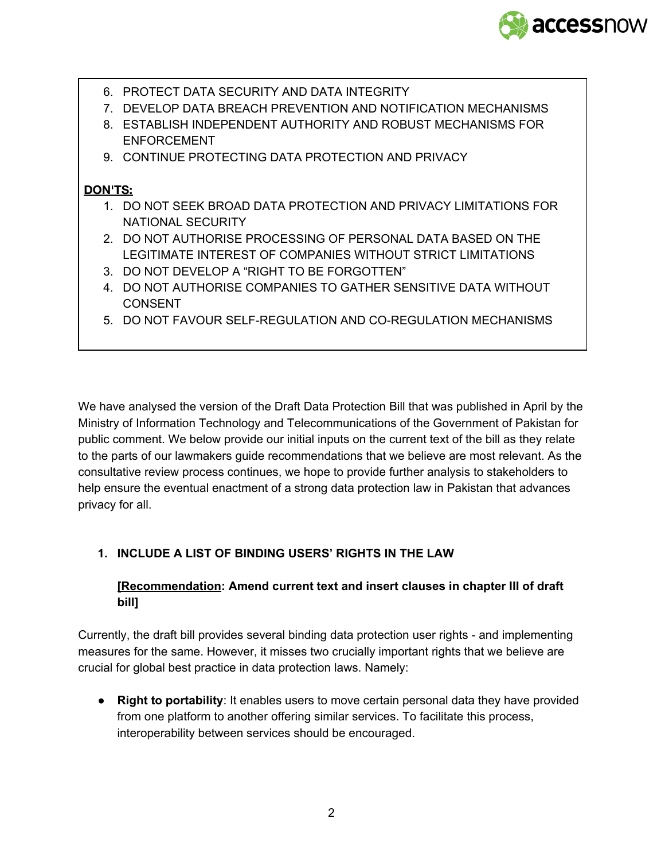

- 6. PROTECT DATA SECURITY AND DATA INTEGRITY
- 7. DEVELOP DATA BREACH PREVENTION AND NOTIFICATION MECHANISMS
- 8. ESTABLISH INDEPENDENT AUTHORITY AND ROBUST MECHANISMS FOR ENFORCEMENT
- 9. CONTINUE PROTECTING DATA PROTECTION AND PRIVACY

#### **DON'TS:**

- 1. DO NOT SEEK BROAD DATA PROTECTION AND PRIVACY LIMITATIONS FOR NATIONAL SECURITY
- 2. DO NOT AUTHORISE PROCESSING OF PERSONAL DATA BASED ON THE LEGITIMATE INTEREST OF COMPANIES WITHOUT STRICT LIMITATIONS
- 3. DO NOT DEVELOP A "RIGHT TO BE FORGOTTEN"
- 4. DO NOT AUTHORISE COMPANIES TO GATHER SENSITIVE DATA WITHOUT **CONSENT**
- 5. DO NOT FAVOUR SELF-REGULATION AND CO-REGULATION MECHANISMS

We have analysed the version of the Draft Data Protection Bill that was published in April by the Ministry of Information Technology and Telecommunications of the Government of Pakistan for public comment. We below provide our initial inputs on the current text of the bill as they relate to the parts of our lawmakers guide recommendations that we believe are most relevant. As the consultative review process continues, we hope to provide further analysis to stakeholders to help ensure the eventual enactment of a strong data protection law in Pakistan that advances privacy for all.

# **1. INCLUDE A LIST OF BINDING USERS' RIGHTS IN THE LAW**

# **[Recommendation: Amend current text and insert clauses in chapter III of draft bill]**

Currently, the draft bill provides several binding data protection user rights - and implementing measures for the same. However, it misses two crucially important rights that we believe are crucial for global best practice in data protection laws. Namely:

● **Right to portability**: It enables users to move certain personal data they have provided from one platform to another offering similar services. To facilitate this process, interoperability between services should be encouraged.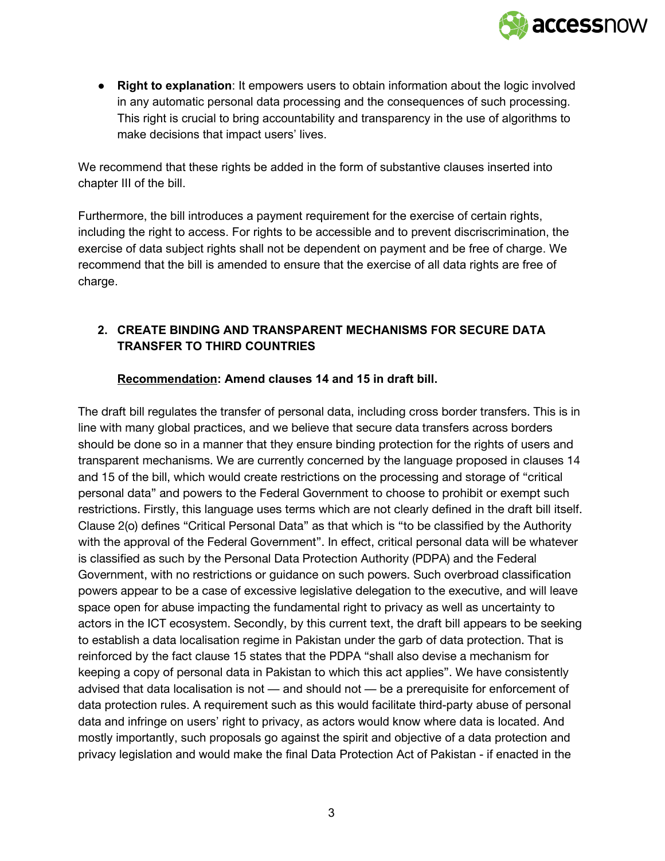

● **Right to explanation**: It empowers users to obtain information about the logic involved in any automatic personal data processing and the consequences of such processing. This right is crucial to bring accountability and transparency in the use of algorithms to make decisions that impact users' lives.

We recommend that these rights be added in the form of substantive clauses inserted into chapter III of the bill.

Furthermore, the bill introduces a payment requirement for the exercise of certain rights, including the right to access. For rights to be accessible and to prevent discriscrimination, the exercise of data subject rights shall not be dependent on payment and be free of charge. We recommend that the bill is amended to ensure that the exercise of all data rights are free of charge.

# **2. CREATE BINDING AND TRANSPARENT MECHANISMS FOR SECURE DATA TRANSFER TO THIRD COUNTRIES**

#### **Recommendation: Amend clauses 14 and 15 in draft bill.**

The draft bill regulates the transfer of personal data, including cross border transfers. This is in line with many global practices, and we believe that secure data transfers across borders should be done so in a manner that they ensure binding protection for the rights of users and transparent mechanisms. We are currently concerned by the language proposed in clauses 14 and 15 of the bill, which would create restrictions on the processing and storage of "critical personal data" and powers to the Federal Government to choose to prohibit or exempt such restrictions. Firstly, this language uses terms which are not clearly defined in the draft bill itself. Clause 2(o) defines "Critical Personal Data" as that which is "to be classified by the Authority with the approval of the Federal Government". In effect, critical personal data will be whatever is classified as such by the Personal Data Protection Authority (PDPA) and the Federal Government, with no restrictions or guidance on such powers. Such overbroad classification powers appear to be a case of excessive legislative delegation to the executive, and will leave space open for abuse impacting the fundamental right to privacy as well as uncertainty to actors in the ICT ecosystem. Secondly, by this current text, the draft bill appears to be seeking to establish a data localisation regime in Pakistan under the garb of data protection. That is reinforced by the fact clause 15 states that the PDPA "shall also devise a mechanism for keeping a copy of personal data in Pakistan to which this act applies". We have consistently advised that data localisation is not — and should not — be a prerequisite for enforcement of data protection rules. A requirement such as this would facilitate third-party abuse of personal data and infringe on users' right to privacy, as actors would know where data is located. And mostly importantly, such proposals go against the spirit and objective of a data protection and privacy legislation and would make the final Data Protection Act of Pakistan - if enacted in the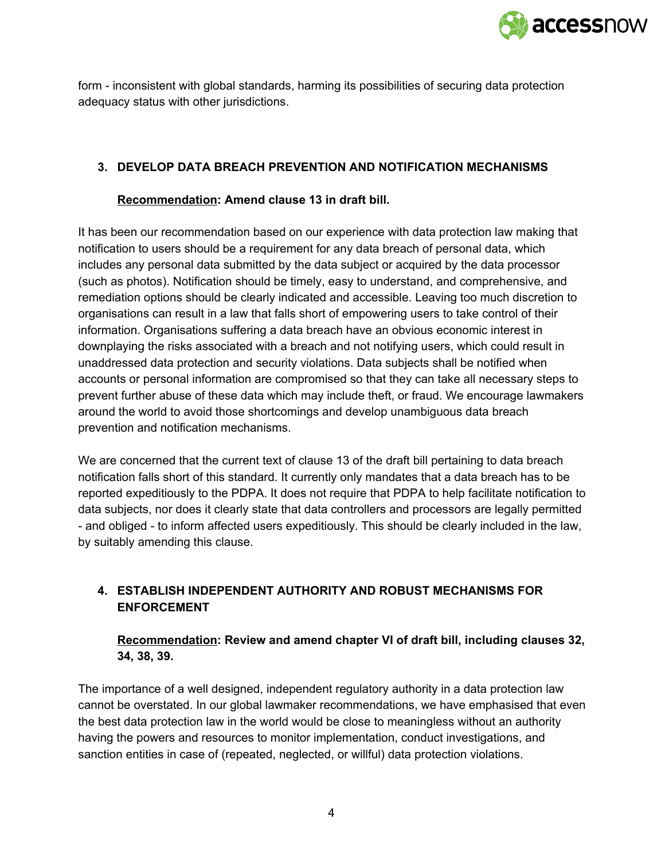

form - inconsistent with global standards, harming its possibilities of securing data protection adequacy status with other jurisdictions.

# **3. DEVELOP DATA BREACH PREVENTION AND NOTIFICATION MECHANISMS**

#### **Recommendation: Amend clause 13 in draft bill.**

It has been our recommendation based on our experience with data protection law making that notification to users should be a requirement for any data breach of personal data, which includes any personal data submitted by the data subject or acquired by the data processor (such as photos). Notification should be timely, easy to understand, and comprehensive, and remediation options should be clearly indicated and accessible. Leaving too much discretion to organisations can result in a law that falls short of empowering users to take control of their information. Organisations suffering a data breach have an obvious economic interest in downplaying the risks associated with a breach and not notifying users, which could result in unaddressed data protection and security violations. Data subjects shall be notified when accounts or personal information are compromised so that they can take all necessary steps to prevent further abuse of these data which may include theft, or fraud. We encourage lawmakers around the world to avoid those shortcomings and develop unambiguous data breach prevention and notification mechanisms.

We are concerned that the current text of clause 13 of the draft bill pertaining to data breach notification falls short of this standard. It currently only mandates that a data breach has to be reported expeditiously to the PDPA. It does not require that PDPA to help facilitate notification to data subjects, nor does it clearly state that data controllers and processors are legally permitted - and obliged - to inform affected users expeditiously. This should be clearly included in the law, by suitably amending this clause.

# **4. ESTABLISH INDEPENDENT AUTHORITY AND ROBUST MECHANISMS FOR ENFORCEMENT**

# **Recommendation: Review and amend chapter VI of draft bill, including clauses 32, 34, 38, 39.**

The importance of a well designed, independent regulatory authority in a data protection law cannot be overstated. In our global lawmaker recommendations, we have emphasised that even the best data protection law in the world would be close to meaningless without an authority having the powers and resources to monitor implementation, conduct investigations, and sanction entities in case of (repeated, neglected, or willful) data protection violations.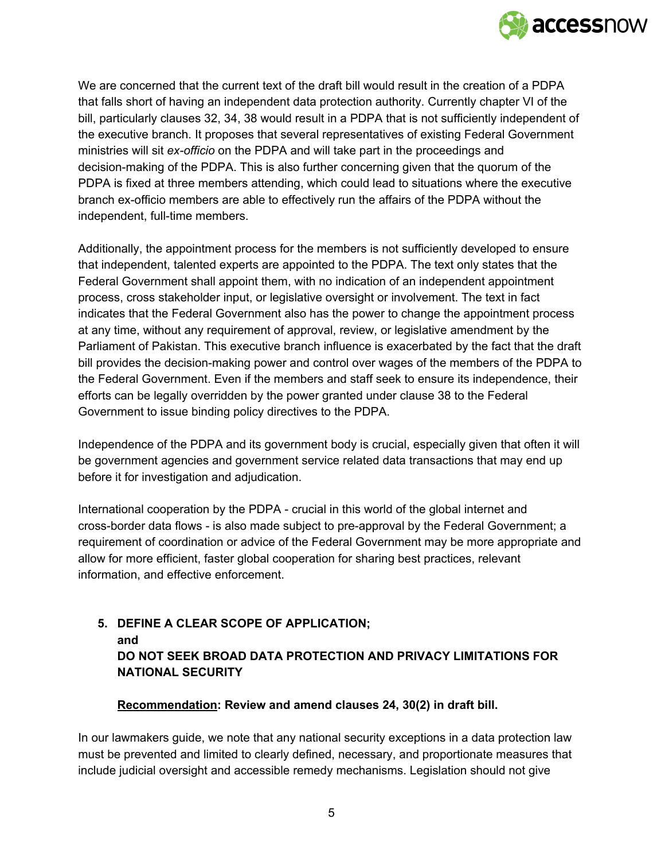

We are concerned that the current text of the draft bill would result in the creation of a PDPA that falls short of having an independent data protection authority. Currently chapter VI of the bill, particularly clauses 32, 34, 38 would result in a PDPA that is not sufficiently independent of the executive branch. It proposes that several representatives of existing Federal Government ministries will sit *ex-officio* on the PDPA and will take part in the proceedings and decision-making of the PDPA. This is also further concerning given that the quorum of the PDPA is fixed at three members attending, which could lead to situations where the executive branch ex-officio members are able to effectively run the affairs of the PDPA without the independent, full-time members.

Additionally, the appointment process for the members is not sufficiently developed to ensure that independent, talented experts are appointed to the PDPA. The text only states that the Federal Government shall appoint them, with no indication of an independent appointment process, cross stakeholder input, or legislative oversight or involvement. The text in fact indicates that the Federal Government also has the power to change the appointment process at any time, without any requirement of approval, review, or legislative amendment by the Parliament of Pakistan. This executive branch influence is exacerbated by the fact that the draft bill provides the decision-making power and control over wages of the members of the PDPA to the Federal Government. Even if the members and staff seek to ensure its independence, their efforts can be legally overridden by the power granted under clause 38 to the Federal Government to issue binding policy directives to the PDPA.

Independence of the PDPA and its government body is crucial, especially given that often it will be government agencies and government service related data transactions that may end up before it for investigation and adjudication.

International cooperation by the PDPA - crucial in this world of the global internet and cross-border data flows - is also made subject to pre-approval by the Federal Government; a requirement of coordination or advice of the Federal Government may be more appropriate and allow for more efficient, faster global cooperation for sharing best practices, relevant information, and effective enforcement.

# **5. DEFINE A CLEAR SCOPE OF APPLICATION; and DO NOT SEEK BROAD DATA PROTECTION AND PRIVACY LIMITATIONS FOR NATIONAL SECURITY**

#### **Recommendation: Review and amend clauses 24, 30(2) in draft bill.**

In our lawmakers guide, we note that any national security exceptions in a data protection law must be prevented and limited to clearly defined, necessary, and proportionate measures that include judicial oversight and accessible remedy mechanisms. Legislation should not give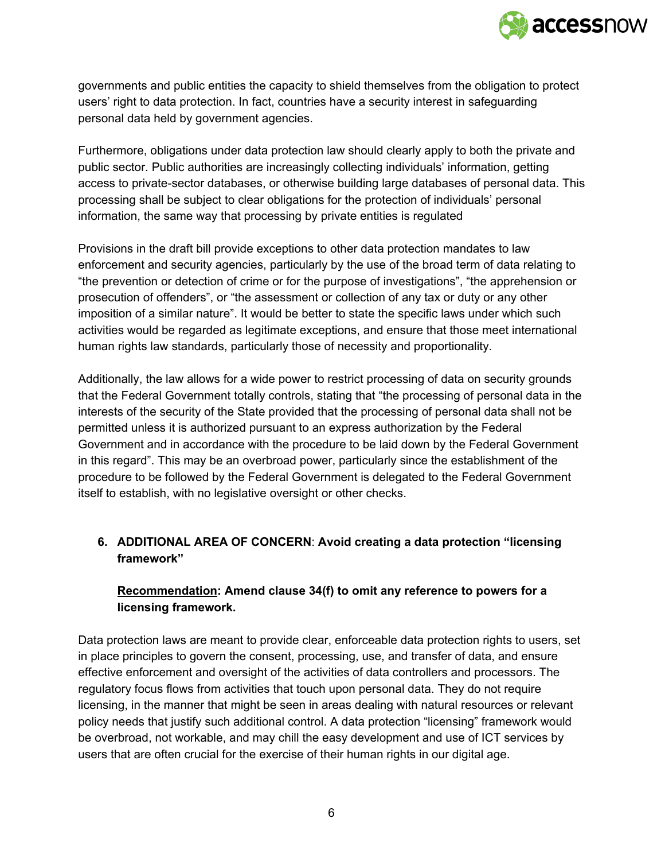

governments and public entities the capacity to shield themselves from the obligation to protect users' right to data protection. In fact, countries have a security interest in safeguarding personal data held by government agencies.

Furthermore, obligations under data protection law should clearly apply to both the private and public sector. Public authorities are increasingly collecting individuals' information, getting access to private-sector databases, or otherwise building large databases of personal data. This processing shall be subject to clear obligations for the protection of individuals' personal information, the same way that processing by private entities is regulated

Provisions in the draft bill provide exceptions to other data protection mandates to law enforcement and security agencies, particularly by the use of the broad term of data relating to "the prevention or detection of crime or for the purpose of investigations", "the apprehension or prosecution of offenders", or "the assessment or collection of any tax or duty or any other imposition of a similar nature". It would be better to state the specific laws under which such activities would be regarded as legitimate exceptions, and ensure that those meet international human rights law standards, particularly those of necessity and proportionality.

Additionally, the law allows for a wide power to restrict processing of data on security grounds that the Federal Government totally controls, stating that "the processing of personal data in the interests of the security of the State provided that the processing of personal data shall not be permitted unless it is authorized pursuant to an express authorization by the Federal Government and in accordance with the procedure to be laid down by the Federal Government in this regard". This may be an overbroad power, particularly since the establishment of the procedure to be followed by the Federal Government is delegated to the Federal Government itself to establish, with no legislative oversight or other checks.

# **6. ADDITIONAL AREA OF CONCERN**: **Avoid creating a data protection "licensing framework"**

# **Recommendation: Amend clause 34(f) to omit any reference to powers for a licensing framework.**

Data protection laws are meant to provide clear, enforceable data protection rights to users, set in place principles to govern the consent, processing, use, and transfer of data, and ensure effective enforcement and oversight of the activities of data controllers and processors. The regulatory focus flows from activities that touch upon personal data. They do not require licensing, in the manner that might be seen in areas dealing with natural resources or relevant policy needs that justify such additional control. A data protection "licensing" framework would be overbroad, not workable, and may chill the easy development and use of ICT services by users that are often crucial for the exercise of their human rights in our digital age.